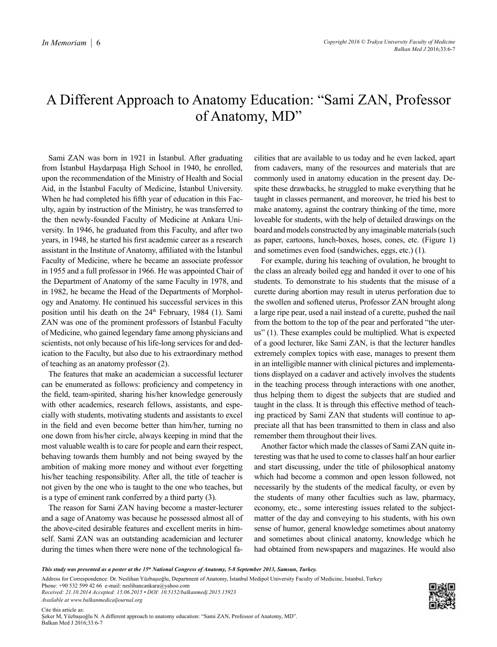## A Different Approach to Anatomy Education: "Sami ZAN, Professor of Anatomy, MD"

Sami ZAN was born in 1921 in İstanbul. After graduating from İstanbul Haydarpaşa High School in 1940, he enrolled, upon the recommendation of the Ministry of Health and Social Aid, in the İstanbul Faculty of Medicine, İstanbul University. When he had completed his fifth year of education in this Faculty, again by instruction of the Ministry, he was transferred to the then newly-founded Faculty of Medicine at Ankara University. In 1946, he graduated from this Faculty, and after two years, in 1948, he started his first academic career as a research assistant in the Institute of Anatomy, affiliated with the İstanbul Faculty of Medicine, where he became an associate professor in 1955 and a full professor in 1966. He was appointed Chair of the Department of Anatomy of the same Faculty in 1978, and in 1982, he became the Head of the Departments of Morphology and Anatomy. He continued his successful services in this position until his death on the  $24<sup>th</sup>$  February, 1984 (1). Sami ZAN was one of the prominent professors of İstanbul Faculty of Medicine, who gained legendary fame among physicians and scientists, not only because of his life-long services for and dedication to the Faculty, but also due to his extraordinary method of teaching as an anatomy professor (2).

The features that make an academician a successful lecturer can be enumerated as follows: proficiency and competency in the field, team-spirited, sharing his/her knowledge generously with other academics, research fellows, assistants, and especially with students, motivating students and assistants to excel in the field and even become better than him/her, turning no one down from his/her circle, always keeping in mind that the most valuable wealth is to care for people and earn their respect, behaving towards them humbly and not being swayed by the ambition of making more money and without ever forgetting his/her teaching responsibility. After all, the title of teacher is not given by the one who is taught to the one who teaches, but is a type of eminent rank conferred by a third party (3).

The reason for Sami ZAN having become a master-lecturer and a sage of Anatomy was because he possessed almost all of the above-cited desirable features and excellent merits in himself. Sami ZAN was an outstanding academician and lecturer during the times when there were none of the technological facilities that are available to us today and he even lacked, apart from cadavers, many of the resources and materials that are commonly used in anatomy education in the present day. Despite these drawbacks, he struggled to make everything that he taught in classes permanent, and moreover, he tried his best to make anatomy, against the contrary thinking of the time, more loveable for students, with the help of detailed drawings on the board and models constructed by any imaginable materials (such as paper, cartoons, lunch-boxes, hoses, cones, etc. (Figure 1) and sometimes even food (sandwiches, eggs, etc.) (1).

For example, during his teaching of ovulation, he brought to the class an already boiled egg and handed it over to one of his students. To demonstrate to his students that the misuse of a curette during abortion may result in uterus perforation due to the swollen and softened uterus, Professor ZAN brought along a large ripe pear, used a nail instead of a curette, pushed the nail from the bottom to the top of the pear and perforated "the uterus" (1). These examples could be multiplied. What is expected of a good lecturer, like Sami ZAN, is that the lecturer handles extremely complex topics with ease, manages to present them in an intelligible manner with clinical pictures and implementations displayed on a cadaver and actively involves the students in the teaching process through interactions with one another, thus helping them to digest the subjects that are studied and taught in the class. It is through this effective method of teaching practiced by Sami ZAN that students will continue to appreciate all that has been transmitted to them in class and also remember them throughout their lives.

Another factor which made the classes of Sami ZAN quite interesting was that he used to come to classes half an hour earlier and start discussing, under the title of philosophical anatomy which had become a common and open lesson followed, not necessarily by the students of the medical faculty, or even by the students of many other faculties such as law, pharmacy, economy, etc., some interesting issues related to the subjectmatter of the day and conveying to his students, with his own sense of humor, general knowledge sometimes about anatomy and sometimes about clinical anatomy, knowledge which he had obtained from newspapers and magazines. He would also

Phone: +90 532 599 42 66 e-mail: neslihancankara@yahoo.com *Received: 21.10.2014 Accepted: 15.06.2015 • DOI: 10.5152/balkanmedj.2015.15923 Available at www.balkanmedicaljournal.org*



*This study was presented as a poster at the 15th National Congress of Anatomy, 5-8 September 2013, Samsun, Turkey.*

Address for Correspondence: Dr. Neslihan Yüzbaşıoğlu, Department of Anatomy, İstanbul Medipol University Faculty of Medicine, İstanbul, Turkey